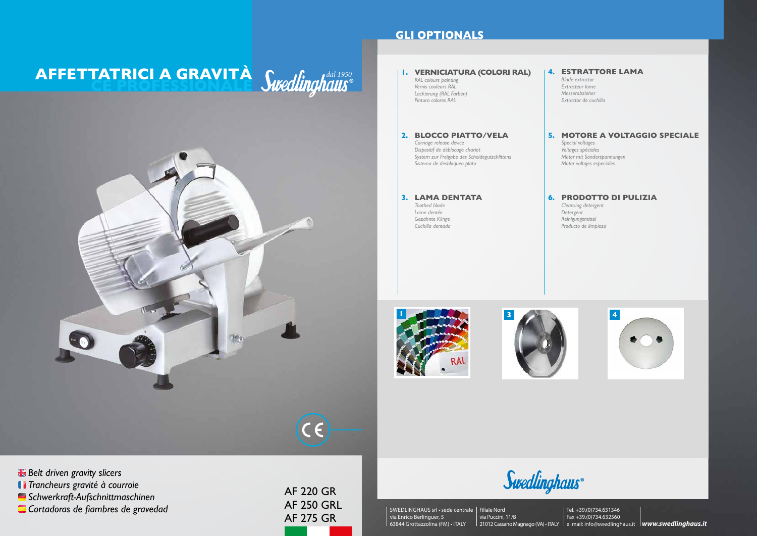# **AFFETTATRICI A GRAVITA** *Cucalinabane*<sup>d</sup> **CE PROFESSIONALE**



AF 220 GR AF 250 GRL AF 275 GR

*Belt driven gravity slicers Trancheurs gravité à courroie Schwerkraft-Aufschnittmaschinen Cortadoras de fiambres de gravedad*

#### **GLI OPTIONALS**

#### **1 3 4 1. VERNICIATURA (COLORI RAL)** *RAL colours painting Vernis couleurs RAL Lackierung (RAL Farben) Pintura colores RAL* **3. LAMA DENTATA** *Toothed blade Lame dentée Gezahnte Klinge Cuchilla dentada* **2. BLOCCO PIATTO/VELA** *Carriage release device Dispositif de déblocage chariot System zur Freigabe des Scheidegutschlittens Sistema de desbloqueo plato* **4. ESTRATTORE LAMA** *Blade extractor Extracteur lame Messerabzieher Extractor de cuchilla* **5. MOTORE A VOLTAGGIO SPECIALE** *Special voltages Voltages spéciales Motor mit Sonderspannungen Motor voltajes especiales* **6. PRODOTTO DI PULIZIA** *Cleansing detergent Detergent Reinigungsmittel Producto de limpieza*





SWEDLINGHAUS srl • sede centrale Filiale Nord via Enrico Berlinguer, 5 63844 Grottazzolina (FM) • ITALY

via Puccini, 11/B 21012 Cassano Magnago (VA) • ITALY le. mail: info@swedlinghaus.it **lwww.swedlinghaus.it** Tel. +39.(0)734.631346 Fax +39.(0)734.632560